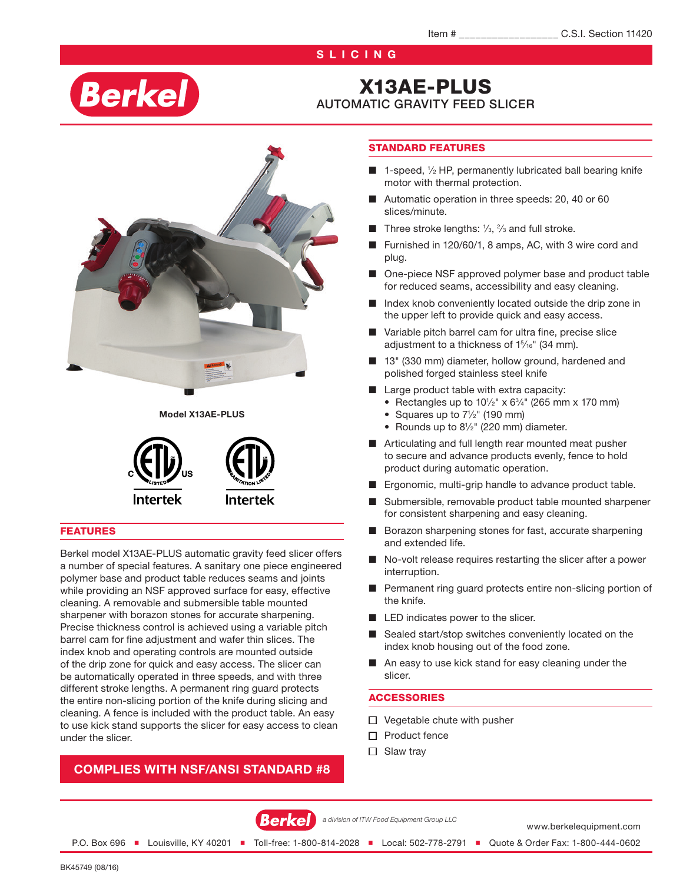## **SLICING**

# **Berkel**

# X13AE-PLUS

# AUTOMATIC GRAVITY FEED SLICER



Model X13AE-PLUS



#### FEATURES

Berkel model X13AE-PLUS automatic gravity feed slicer offers a number of special features. A sanitary one piece engineered polymer base and product table reduces seams and joints while providing an NSF approved surface for easy, effective cleaning. A removable and submersible table mounted sharpener with borazon stones for accurate sharpening. Precise thickness control is achieved using a variable pitch barrel cam for fine adjustment and wafer thin slices. The index knob and operating controls are mounted outside of the drip zone for quick and easy access. The slicer can be automatically operated in three speeds, and with three different stroke lengths. A permanent ring guard protects the entire non-slicing portion of the knife during slicing and cleaning. A fence is included with the product table. An easy to use kick stand supports the slicer for easy access to clean under the slicer.

### COMPLIES WITH NSF/ANSI STANDARD #8

#### STANDARD FEATURES

- 1-speed, 1/2 HP, permanently lubricated ball bearing knife motor with thermal protection.
- Automatic operation in three speeds: 20, 40 or 60 slices/minute.
- **Three stroke lengths:**  $\frac{1}{3}$ ,  $\frac{2}{3}$  and full stroke.
- Furnished in 120/60/1, 8 amps, AC, with 3 wire cord and plug.
- One-piece NSF approved polymer base and product table for reduced seams, accessibility and easy cleaning.
- Index knob conveniently located outside the drip zone in the upper left to provide quick and easy access.
- Variable pitch barrel cam for ultra fine, precise slice adjustment to a thickness of 1<sup>5</sup>/<sub>16</sub>" (34 mm).
- 13" (330 mm) diameter, hollow ground, hardened and polished forged stainless steel knife
- Large product table with extra capacity:
	- Rectangles up to  $10^{1/2}$ " x  $6^{3/4}$ " (265 mm x 170 mm)
	- Squares up to  $7\frac{1}{2}$ " (190 mm)
	- Rounds up to  $8\frac{1}{2}$ " (220 mm) diameter.
- Articulating and full length rear mounted meat pusher to secure and advance products evenly, fence to hold product during automatic operation.
- Ergonomic, multi-grip handle to advance product table.
- Submersible, removable product table mounted sharpener for consistent sharpening and easy cleaning.
- Borazon sharpening stones for fast, accurate sharpening and extended life.
- No-volt release requires restarting the slicer after a power interruption.
- Permanent ring guard protects entire non-slicing portion of the knife.
- LED indicates power to the slicer.
- Sealed start/stop switches conveniently located on the index knob housing out of the food zone.
- An easy to use kick stand for easy cleaning under the slicer.

#### **ACCESSORIES**

- $\Box$  Vegetable chute with pusher
- $\Box$  Product fence
- $\Box$  Slaw tray



*a division of ITW Food Equipment Group LLC*

www.berkelequipment.com

P.O. Box 696 ■ Louisville, KY 40201 ■ Toll-free: 1-800-814-2028 ■ Local: 502-778-2791 ■ Quote & Order Fax: 1-800-444-0602